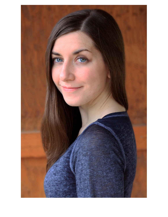